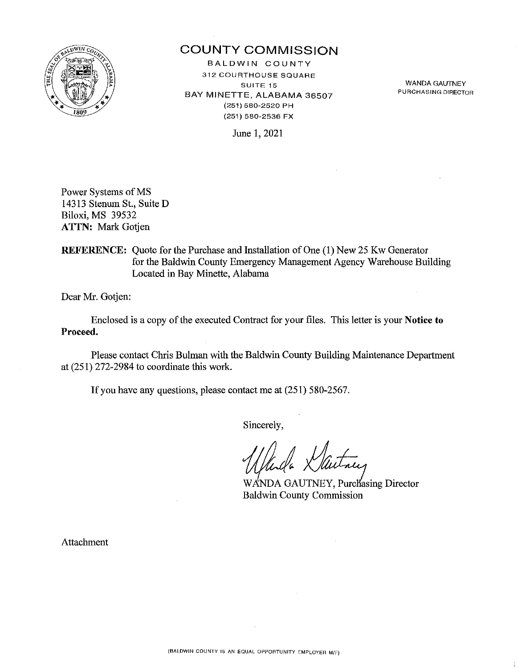

# COUNTY COMMISSION

BALDWIN COUNTY 312 **COURTHOUSE SQUARE SUITE 15**  BAY MINETTE, ALABAMA 36507 (251) 580-2520 PH (251) 580-2536 FX

WANDA GAUTNEY PURCHASING DIRECTOR

June l, 2021

Power Systems of MS 14313 Stenum St, Suite D Biloxi, MS 39532 ATTN: Mark Gotjen

REFERENCE: Quote for the Purchase and Installation of One (1) New 25 Kw Generator for the Baldwin County Emergency Management Agency Warehouse Building Located in Bay Minette, Alabama

Dear Mr. Gotjen:

Enclosed is a copy of the executed Contract for your files. This letter is your Notice to Proceed.

Please contact Chris Bulman with the Baldwin County Building Maintenance Department at (251) 272-2984 to coordinate this work.

If you have any questions, please contact me at (251) 580-2567.

Sincerely,

WANDA GAUTNEY, Purchasing Director<br>Baldwin County Commission

Attachment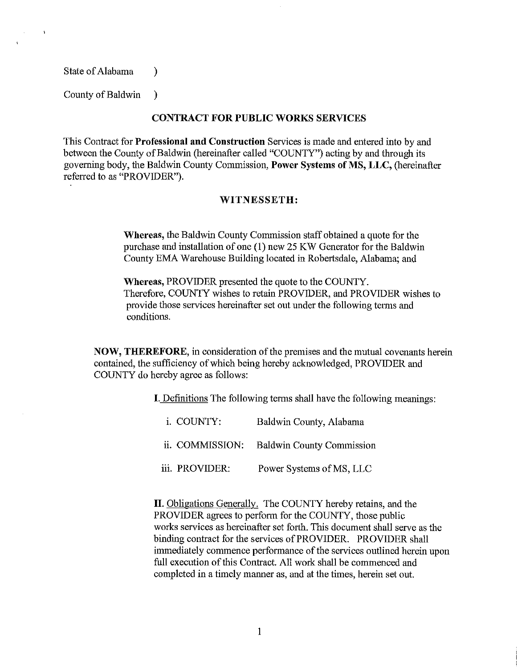State of Alabama (b)

 $\ddot{\phantom{1}}$ 

County of Baldwin )

#### **CONTRACT FOR PUBLIC WORKS SERVICES**

This Contract for **Professional and Construction** Services is made and entered into by and between the County of Baldwin (hereinafter called "COUNTY") acting by and through its governing body, the Baldwin County Commission, **Power Systems of MS, LLC,** (hereinafter referred to as "PROVIDER").

#### **WITNESSETH:**

**Whereas,** the Baldwin County Commission staff obtained a quote for the purchase and installation of one (1) new 25 KW Generator for the Baldwin County EMA Warehouse Building located in Robertsdale, Alabama; and

**Whereas,** PROVIDER presented the quote to the COUNTY. Therefore, COUNTY wishes to retain PROVIDER, and PROVIDER wishes to provide those services hereinafter set out under the following terms and conditions.

**NOW, THEREFORE,** in consideration of the premises and the mutual covenants herein contained, the sufficiency of which being hereby acknowledged, PROVIDER and COUNTY do hereby agree as follows:

I. Definitions The following terms shall have the following meanings:

| i. COUNTY:      | Baldwin County, Alabama          |
|-----------------|----------------------------------|
| ii. COMMISSION: | <b>Baldwin County Commission</b> |
| iii. PROVIDER:  | Power Systems of MS, LLC         |

II. Obligations Generally. The COUNTY hereby retains, and the PROVIDER agrees to perform for the COUNTY, those public works services as hereinafter set forth. This document shall serve as the binding contract for the services of PROVIDER. PROVIDER shall immediately commence performance of the services outlined herein upon full execution of this Contract. All work shall be commenced and completed in a timely manner as, and at the times, herein set out.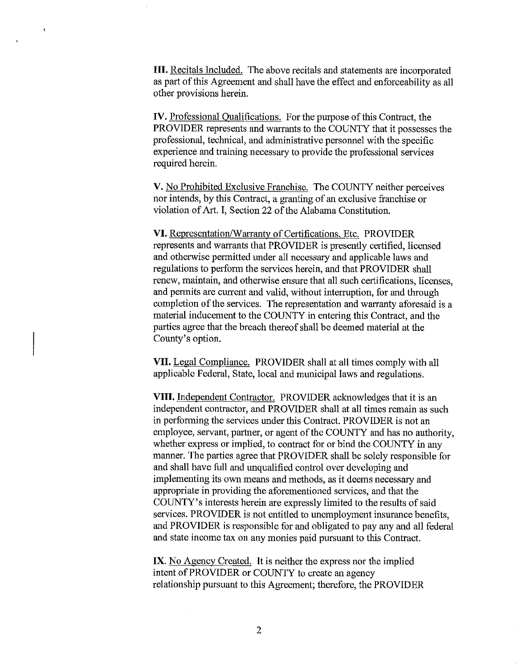**III.** Recitals Included. The above recitals and statements are incorporated as part of this Agreement and shall have the effect and enforceability as all other provisions herein.

 $\ddot{\phantom{1}}$ 

IV. Professional Oualifications. For the purpose of this Contract, the PROVIDER represents and warrants to the COUNTY that it possesses the professional, technical, and administrative personnel with the specific experience and training necessary to provide the professional services required herein.

V. No Prohibited Exclusive Franchise. The COUNTY neither perceives nor intends, by this Contract, a granting of an exclusive franchise or violation of Art. I, Section 22 of the Alabama Constitution.

VI. Representation/Warranty of Certifications, Etc. PROVIDER represents and warrants that PROVIDER is presently certified, licensed and otherwise permitted under all necessary and applicable laws and regulations to perform the services herein, and that PROVIDER shall renew, maintain, and otherwise ensure that all such certifications, licenses, and permits are current and valid, without interruption, for and through completion of the services. The representation and warranty aforesaid is a material inducement to the COUNTY in entering this Contract, and the parties agree that the breach thereof shall be deemed material at the County's option.

VII. Legal Compliance. PROVIDER shall at all times comply with all applicable Federal, State, local and municipal laws and regulations.

**VIII.** Independent Contractor. PROVIDER acknowledges that it is an independent contractor, and PROVIDER shall at all times remain as such in performing the services under this Contract. PROVIDER is not an employee, servant, partner, or agent of the COUNTY and has no authority, whether express or implied, to contract for or bind the COUNTY in any manner. The parties agree that PROVIDER shall be solely responsible for and shall have full and unqualified control over developing and implementing its own means and methods, as it deems necessary and appropriate in providing the aforementioned services, and that the COUNTY's interests herein are expressly limited to the results of said services. PROVIDER is not entitled to unemployment insurance benefits, and PROVIDER is responsible for and obligated to pay any and all federal and state income tax on any monies paid pursuant to this Contract.

IX. No Agency Created. It is neither the express nor the implied intent of PROVIDER or COUNTY to create an agency relationship pursuant to this Agreement; therefore, the PROVIDER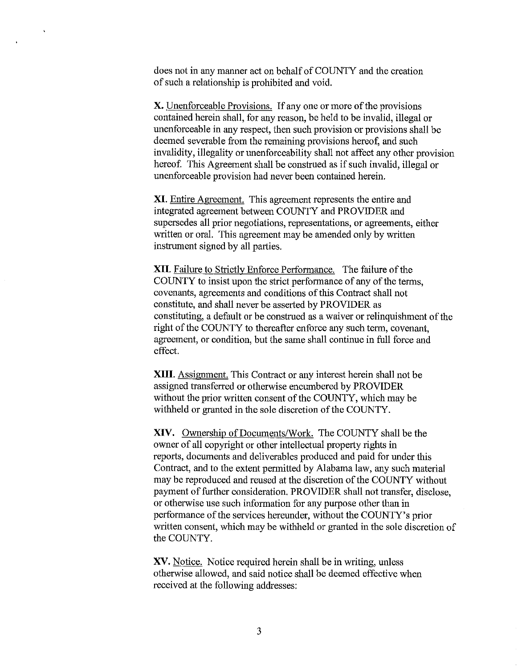does not in any manner act on behalf of COUNTY and the creation of such a relationship is prohibited and void.

 $\ddot{\phantom{1}}$ 

X. Unenforceable Provisions. If any one or more of the provisions contained herein shall, for any reason, be held to be invalid, illegal or unenforceable in any respect, then such provision or provisions shall be deemed severable from the remaining provisions hereof, and such invalidity, illegality or unenforceability shall not affect any other provision hereof. This Agreement shall be construed as if such invalid, illegal or unenforceable provision had never been contained herein.

**XI.** Entire Agreement. This agreement represents the entire and integrated agreement between COUNTY and PROVIDER and supersedes all prior negotiations, representations, or agreements, either written or oral. This agreement may be amended only by written instrument signed by all parties.

**XII.** Failure to Strictly Enforce Performance. The failure of the COUNTY to insist upon the strict performance of any of the terms, covenants, agreements and conditions of this Contract shall not constitute, and shall never be asserted by PROVIDER as constituting, a default or be construed as a waiver or relinquishment of the right of the COUNTY to thereafter enforce any such term, covenant, agreement, or condition, but the same shall continue in full force and effect.

**XIII.** Assignment. This Contract or any interest herein shall not be assigned transferred or otherwise encumbered by PROVIDER without the prior written consent of the COUNTY, which may be withheld or granted in the sole discretion of the COUNTY.

**XIV.** Ownership of Documents/Work. The COUNTY shall be the owner of all copyright or other intellectual property rights in reports, documents and deliverables produced and paid for under this Contract, and to the extent pennitted by Alabama law, any such material may be reproduced and reused at the discretion of the COUNTY without payment of further consideration. PROVIDER shall not transfer, disclose, or otherwise use such information for any purpose other than in performance of the services hereunder, without the COUNTY's prior written consent, which may be withheld or granted in the sole discretion of the COUNTY.

XV. Notice. Notice required herein shall be in writing, unless otherwise allowed, and said notice shall be deemed effective when received at the following addresses: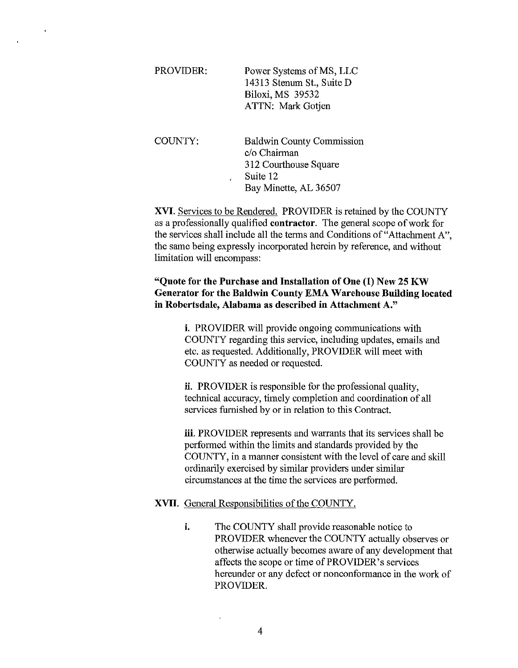| Power Systems of MS, LLC  |
|---------------------------|
| 14313 Stenum St., Suite D |
| Biloxi, MS 39532          |
| ATTN: Mark Gotjen         |
|                           |

 $\mathbf{r}$ 

COUNTY: Baldwin County Commission c/o Chairman 312 Courthouse Square Suite 12 Bay Minette, AL 36507

XVI. Services to be Rendered. PROVIDER is retained by the COUNTY as a professionally qualified contractor. The general scope of work for the services shall include all the tenns and Conditions of"Attachment A", the same being expressly incorporated herein by reference, and without limitation will encompass:

# "Quote for the Purchase and Installation of One (1) New 25 KW Generator for the Baldwin County EMA Warehouse Building located in Robertsdale, Alabama as described in Attachment A."

i. PROVIDER will provide ongoing communications with COUNTY regarding this service, including updates, emails and etc. as requested. Additionally, PROVIDER will meet with COUNTY as needed or requested.

ii. PROVIDER is responsible for the professional quality, technical accuracy, timely completion and coordination of all services furnished by or in relation to this Contract.

iii. PROVIDER represents and warrants that its services shall be performed within the limits and standards provided by the COUNTY, in a manner consistent with the level of care and skill ordinarily exercised by similar providers under similar circumstances at the time the services are performed.

### XVII. General Responsibilities of the COUNTY.

i. The COUNTY shall provide reasonable notice to PROVIDER whenever the COUNTY actually observes or otherwise actually becomes aware of any development that affects the scope or time of PROVIDER's services hereunder or any defect or nonconformance in the work of PROVIDER.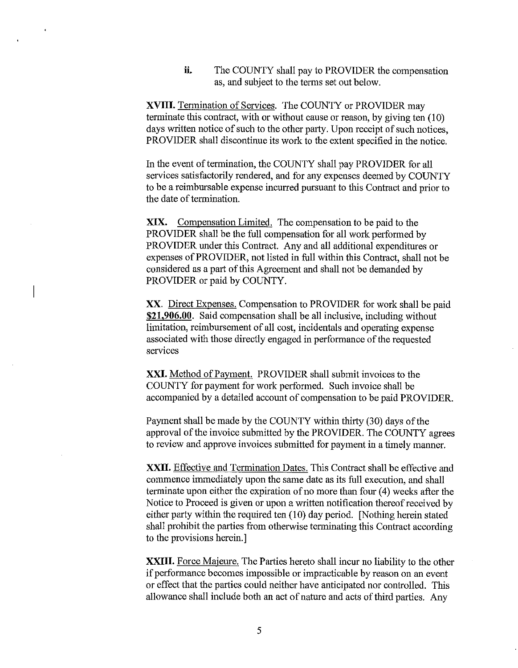**ii.** The COUNTY shall pay to PROVIDER the compensation as, and subject to the terms set out below.

**XVIII.** Termination of Services. The COUNTY or PROVIDER may terminate this contract, with or without cause or reason, by giving ten (10) days written notice of such to the other party. Upon receipt of such notices, PROVIDER shall discontinue its work to the extent specified in the notice.

In the event of termination, the COUNTY shall pay PROVIDER for all services satisfactorily rendered, and for any expenses deemed by COUNTY to be a reimbursable expense incurred pursuant to this Contract and prior to the date of termination.

XIX. Compensation Limited. The compensation to be paid to the PROVIDER shall be the full compensation for all work performed by PROVIDER under this Contract. Any and all additional expenditures or expenses of PROVIDER, not listed in full within this Contract, shall not be considered as a part of this Agreement and shall not be demanded by PROVIDER or paid by COUNTY.

XX. Direct Expenses. Compensation to PROVIDER for work shall be paid **\$21,906.00.** Said compensation shall be all inclusive, including without limitation, reimbursement of all cost, incidentals and operating expense associated with those directly engaged in performance of the requested services

**XXI.** Method of Payment. PROVIDER shall submit invoices to the COUNTY for payment for work performed. Such invoice shall be accompanied by a detailed account of compensation to be paid PROVIDER.

Payment shall be made by the COUNTY within thirty (30) days of the approval of the invoice submitted by the PROVIDER. The COUNTY agrees to review and approve invoices submitted for payment in a timely manner.

**XXII.** Effective and Termination Dates. This Contract shall be effective and commence immediately upon the same date as its full execution, and shall terminate upon either the expiration of no more than four (4) weeks after the Notice to Proceed is given or upon a written notification thereof received by either party within the required ten (10) day period. [Nothing herein stated shall prohibit the parties from otherwise terminating this Contract according to the provisions herein.]

**XXIII.** Force Majeure. The Parties hereto shall incur no liability to the other if performance becomes impossible or impracticable by reason on an event or effect that the parties could neither have anticipated nor controlled. This allowance shall include both an act of nature and acts of third parties. Any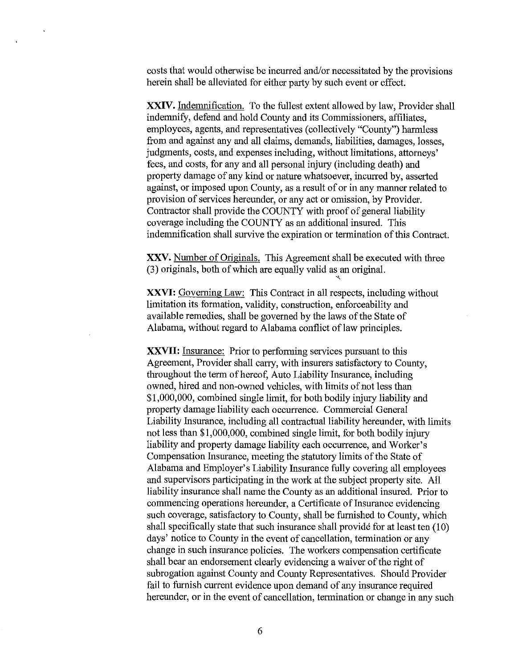costs that would otherwise be incurred and/or necessitated by the provisions herein shall be alleviated for either party by such event or effect.

**XXIV.** Indemnification. To the fullest extent allowed by law, Provider shall indemnify, defend and hold County and its Commissioners, affiliates, employees, agents, and representatives (collectively "County") harmless from and against any and all claims, demands, liabilities, damages, losses, judgments, costs, and expenses including, without limitations, attorneys' fees, and costs, for any and all personal injury (including death) and property damage of any kind or nature whatsoever, incurred by, asserted against, or imposed upon County, as a result of or in any manner related to provision of services hereunder, or any act or omission, by Provider. Contractor shall provide the COUNTY with proof of general liability coverage including the COUNTY as an additional insured. This indemnification shall survive the expiration or tennination of this Contract.

XXV. Number of Originals. This Agreement shall be executed with three (3) originals, both of which are equally valid as an original.

" **XXVI:** Governing Law: This Contract in all respects, including without limitation its formation, validity, construction, enforceability and available remedies, shall be governed by the laws of the State of Alabama, without regard to Alabama conflict of law principles.

**XXVII:** Insurance: Prior to performing services pursuant to this Agreement, Provider shall carry, with insurers satisfactory to County, throughout the term of hereof, Auto Liability Insurance, including owned, hired and non-owned vehicles, with limits of not less than \$1,000,000, combined single limit, for both bodily injury liability and property damage liability each occurrence. Commercial General Liability Insurance, including all contractual liability hereunder, with limits not less than \$1,000,000, combined single limit, for both bodily injury liability and property damage liability each occurrence, and Worker's Compensation Insurance, meeting the statutory limits of the State of Alabama and Employer's Liability Insurance fully covering all employees and supervisors participating in the work at the subject property site. All liability insurance shall name the County as an additional insured. Prior to commencing operations hereunder, a Certificate of Insurance evidencing such coverage, satisfactory to County, shall be furnished to County, which shall specifically state that such insurance shall provide for at least ten (10) days' notice to County in the event of cancellation, termination or any change in such insurance policies. The workers compensation certificate shall bear an endorsement clearly evidencing a waiver of the right of subrogation against County and County Representatives. Should Provider fail to furnish current evidence upon demand of any insurance required hereunder, or in the event of cancellation, termination or change in any such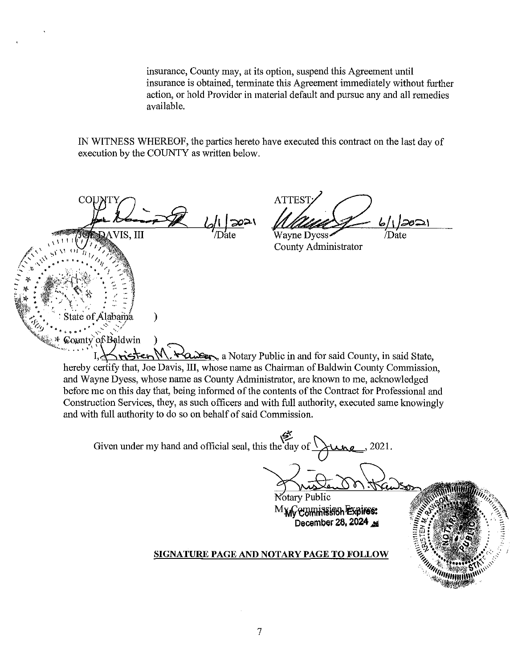insurance, County may, at its option, suspend this Agreement until insurance is obtained, terminate this Agreement immediately without further action, or hold Provider in material default and pursue any and all remedies available.

IN WITNESS WHEREOF, the parties hereto have executed this contract on the last day of execution by the COUNTY as written below.

COI. **DAVIS. III** 

 $\mathcal{E}$ 

State of Alabama

County of Baldwin

**ATTEST** 7Date Wavne Dvess-

County Administrator

"<sup>''''''''''''''</sup>

risten N  $\forall a$   $\Rightarrow a$  Notary Public in and for said County, in said State, hereby certify that, Joe Davis, III, whose name as Chairman of Baldwin County Commission, and Wayne Dyess, whose name as County Administrator, are known to me, acknowledged before me on this day that, being informed of the contents of the Contract for Professional and Construction Services, they, as such officers and with full authority, executed same knowingly and with full authority to do so on behalf of said Commission.

Given under my hand and official seal, this the day of  $\bigcap$  $\lambda$ no, 2021.

> Notary Public M<sub>Xd</sub>Commission Expires: December 28, 2024

#### SIGNATURE PAGE AND NOTARY PAGE TO FOLLOW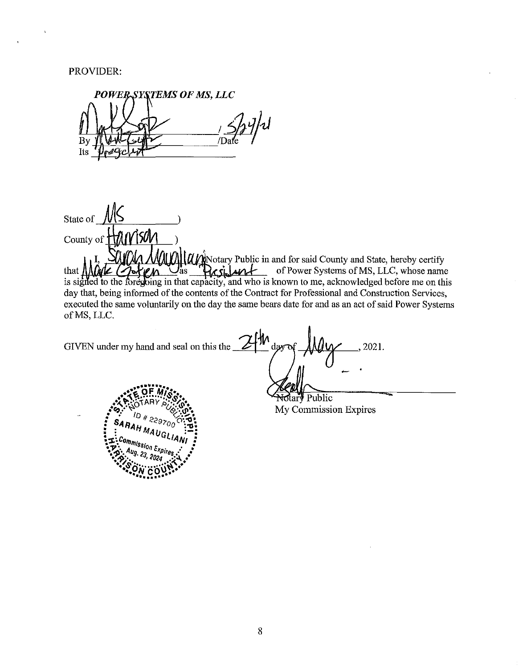## PROVIDER:

 $\overline{ }$ 

POWER-SYSTEMS OF MS. LLC /Dat By Its

State of  $\sqrt{\phantom{a}}$ County of HAWISON ALLANDE County and State, hereby certify of Power Systems of MS, LLC, whose name  $\cup_{\text{as}}$ desilant that  $\mathcal{N}_{\mathcal{A}}$ is signed to the foregoing in that capacity, and who is known to me, acknowledged before me on this day that, being informed of the contents of the Contract for Professional and Construction Services, executed the same voluntarily on the day the same bears date for and as an act of said Power Systems of MS, LLC.

ŀЮ GIVEN under my hand and seal on this the 2021.  $dav$ 

otary Public My Commission Expires

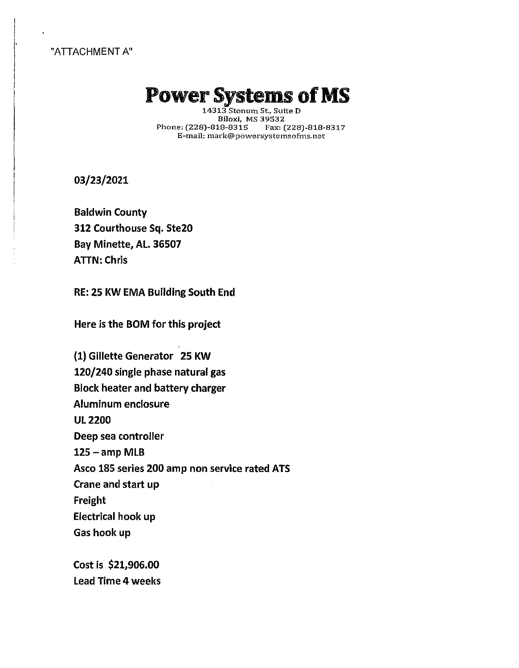#### "ATTACHMENT A"

I ['

 $\vert$ !

# Power Systems of MS

14313 Stenum St., Suite D Biloxi, MS 39532<br>18-8315 Fax: (228)-818-8317 Phone: (228)-818-8315 E-mail: mark@powersystemsofms.net

03/23/2021

Baldwin County 312 Courthouse Sq. Ste20 Bay Minette, AL. 36507 ATIN: Chris

RE: 25 KW EMA Building South End

Here is the BOM for this project

(1) Gillette Generator 25 KW 120/240 single phase natural gas Block heater and battery charger Aluminum enclosure Ul2200 Deep sea controller  $125 -$ amp MLB Asco 185 series 200 amp non service rated ATS Crane and start up Freight Electrical hook up Gas hook up

Cost is \$21,906.00 Lead Time 4 weeks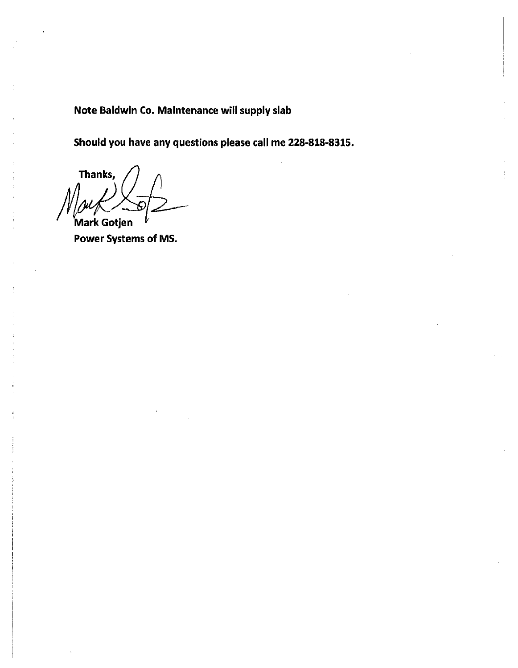Note Baldwin Co. Maintenance will supply slab

Should you have any questions please call me 228-818-8315.

Thanks, Mark Gotjen

Power Systems of MS.